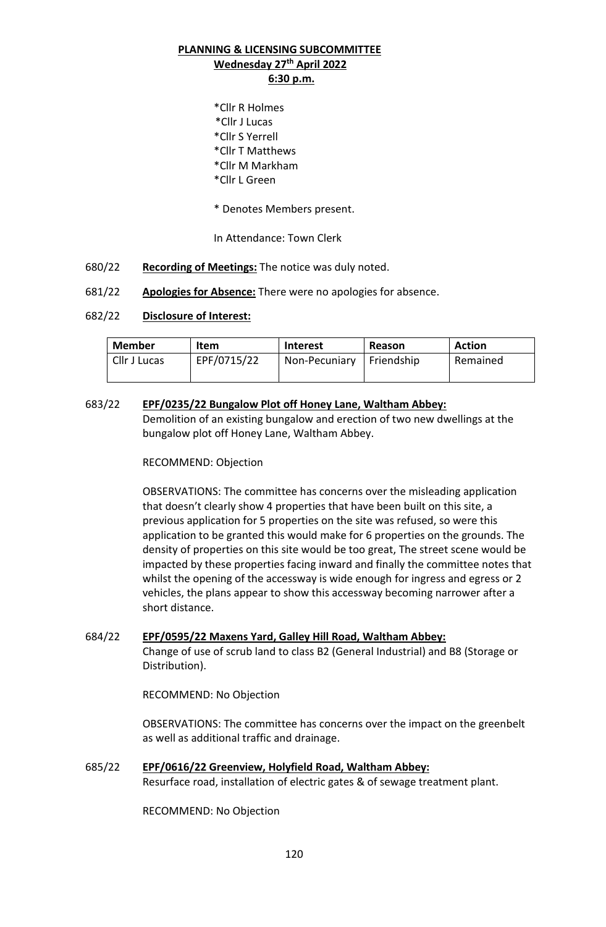## **PLANNING & LICENSING SUBCOMMITTEE Wednesday 27th April 2022 6:30 p.m.**

- \*Cllr R Holmes \*Cllr J Lucas \*Cllr S Yerrell \*Cllr T Matthews \*Cllr M Markham \*Cllr L Green
- \* Denotes Members present.

In Attendance: Town Clerk

- 680/22 **Recording of Meetings:** The notice was duly noted.
- 681/22 **Apologies for Absence:** There were no apologies for absence.

## 682/22 **Disclosure of Interest:**

| Member       | Item        | Interest      | Reason     | <b>Action</b> |
|--------------|-------------|---------------|------------|---------------|
| Cllr J Lucas | EPF/0715/22 | Non-Pecuniary | Friendship | Remained      |
|              |             |               |            |               |

683/22 **EPF/0235/22 Bungalow Plot off Honey Lane, Waltham Abbey:** Demolition of an existing bungalow and erection of two new dwellings at the bungalow plot off Honey Lane, Waltham Abbey.

## RECOMMEND: Objection

OBSERVATIONS: The committee has concerns over the misleading application that doesn't clearly show 4 properties that have been built on this site, a previous application for 5 properties on the site was refused, so were this application to be granted this would make for 6 properties on the grounds. The density of properties on this site would be too great, The street scene would be impacted by these properties facing inward and finally the committee notes that whilst the opening of the accessway is wide enough for ingress and egress or 2 vehicles, the plans appear to show this accessway becoming narrower after a short distance.

684/22 **EPF/0595/22 Maxens Yard, Galley Hill Road, Waltham Abbey:** Change of use of scrub land to class B2 (General Industrial) and B8 (Storage or Distribution).

RECOMMEND: No Objection

OBSERVATIONS: The committee has concerns over the impact on the greenbelt as well as additional traffic and drainage.

685/22 **EPF/0616/22 Greenview, Holyfield Road, Waltham Abbey:** Resurface road, installation of electric gates & of sewage treatment plant.

RECOMMEND: No Objection